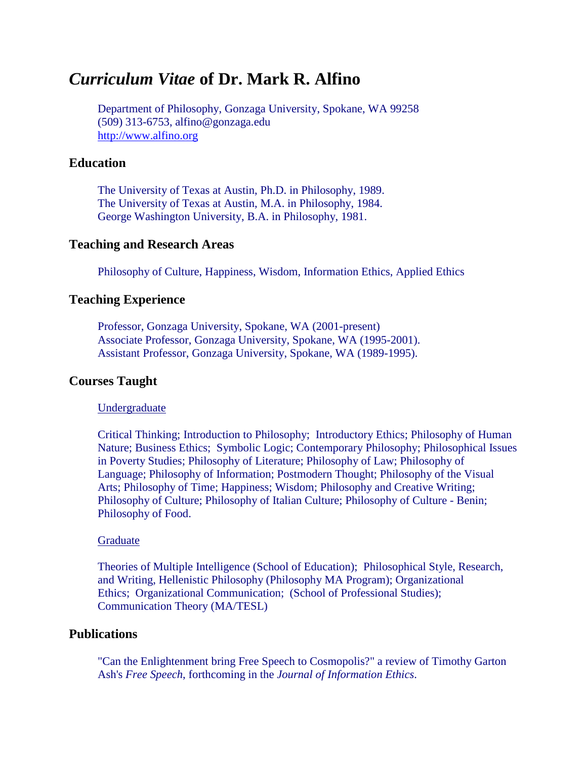# *Curriculum Vitae* **of Dr. Mark R. Alfino**

Department of Philosophy, Gonzaga University, Spokane, WA 99258 (509) 313-6753, alfino@gonzaga.edu [http://www.alfino.org](http://www.alfino.org/)

# **Education**

The University of Texas at Austin, Ph.D. in Philosophy, 1989. The University of Texas at Austin, M.A. in Philosophy, 1984. George Washington University, B.A. in Philosophy, 1981.

### **Teaching and Research Areas**

Philosophy of Culture, Happiness, Wisdom, Information Ethics, Applied Ethics

# **Teaching Experience**

Professor, Gonzaga University, Spokane, WA (2001-present) Associate Professor, Gonzaga University, Spokane, WA (1995-2001). Assistant Professor, Gonzaga University, Spokane, WA (1989-1995).

### **Courses Taught**

#### Undergraduate

Critical Thinking; Introduction to Philosophy; Introductory Ethics; Philosophy of Human Nature; Business Ethics; Symbolic Logic; Contemporary Philosophy; Philosophical Issues in Poverty Studies; Philosophy of Literature; Philosophy of Law; Philosophy of Language; Philosophy of Information; Postmodern Thought; Philosophy of the Visual Arts; Philosophy of Time; Happiness; Wisdom; Philosophy and Creative Writing; Philosophy of Culture; Philosophy of Italian Culture; Philosophy of Culture - Benin; Philosophy of Food.

#### Graduate

Theories of Multiple Intelligence (School of Education); Philosophical Style, Research, and Writing, Hellenistic Philosophy (Philosophy MA Program); Organizational Ethics; Organizational Communication; (School of Professional Studies); Communication Theory (MA/TESL)

# **Publications**

"Can the Enlightenment bring Free Speech to Cosmopolis?" a review of Timothy Garton Ash's *Free Speech*, forthcoming in the *Journal of Information Ethics*.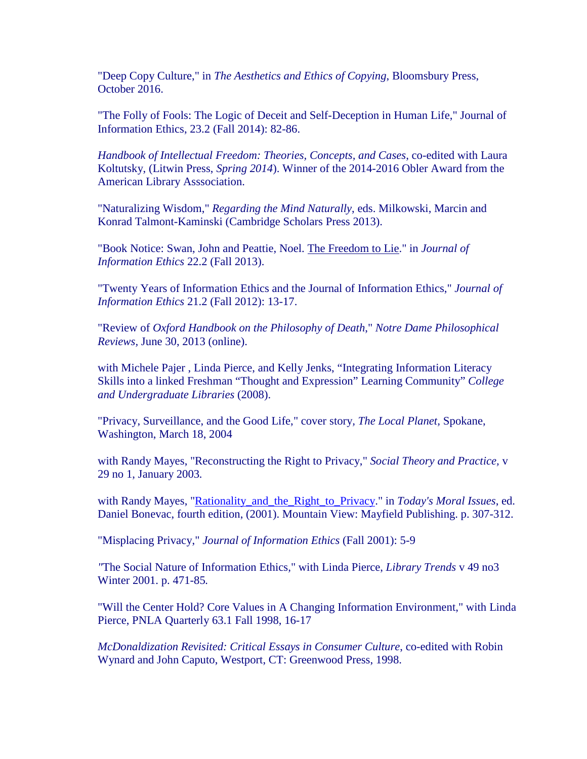"Deep Copy Culture," in *The Aesthetics and Ethics of Copying*, Bloomsbury Press, October 2016.

"The Folly of Fools: The Logic of Deceit and Self-Deception in Human Life," Journal of Information Ethics, 23.2 (Fall 2014): 82-86.

*Handbook of Intellectual Freedom: Theories, Concepts, and Cases*, co-edited with Laura Koltutsky, (Litwin Press, *Spring 2014*). Winner of the 2014-2016 Obler Award from the American Library Asssociation.

"Naturalizing Wisdom," *Regarding the Mind Naturally*, eds. Milkowski, Marcin and Konrad Talmont-Kaminski (Cambridge Scholars Press 2013).

"Book Notice: Swan, John and Peattie, Noel. The Freedom to Lie." in *Journal of Information Ethics* 22.2 (Fall 2013).

"Twenty Years of Information Ethics and the Journal of Information Ethics," *Journal of Information Ethics* 21.2 (Fall 2012): 13-17.

"Review of *Oxford Handbook on the Philosophy of Death*," *Notre Dame Philosophical Reviews,* June 30, 2013 (online).

with Michele Pajer , Linda Pierce, and Kelly Jenks, "Integrating Information Literacy Skills into a linked Freshman "Thought and Expression" Learning Community" *College and Undergraduate Libraries* (2008).

"Privacy, Surveillance, and the Good Life," cover story*, The Local Planet,* Spokane, Washington, March 18, 2004

with Randy Mayes, "Reconstructing the Right to Privacy," *Social Theory and Practice,* v 29 no 1, January 2003*.*

with Randy Mayes, ["Rationality\\_and\\_the\\_Right\\_to\\_Privacy.](http://guweb2.gonzaga.edu/faculty/alfino/dossier/Papers/Rationality_and_the_Right_to_Privacy.doc)" in *Today's Moral Issues*, ed. Daniel Bonevac, fourth edition, (2001). Mountain View: Mayfield Publishing. p. 307-312.

"Misplacing Privacy," *Journal of Information Ethics* (Fall 2001): 5-9

*"*The Social Nature of Information Ethics*,*" with Linda Pierce, *Library Trends* v 49 no3 Winter 2001. p. 471-85*.* 

"Will the Center Hold? Core Values in A Changing Information Environment," with Linda Pierce, PNLA Quarterly 63.1 Fall 1998, 16-17

*McDonaldization Revisited: Critical Essays in Consumer Culture*, co-edited with Robin Wynard and John Caputo, Westport, CT: Greenwood Press, 1998.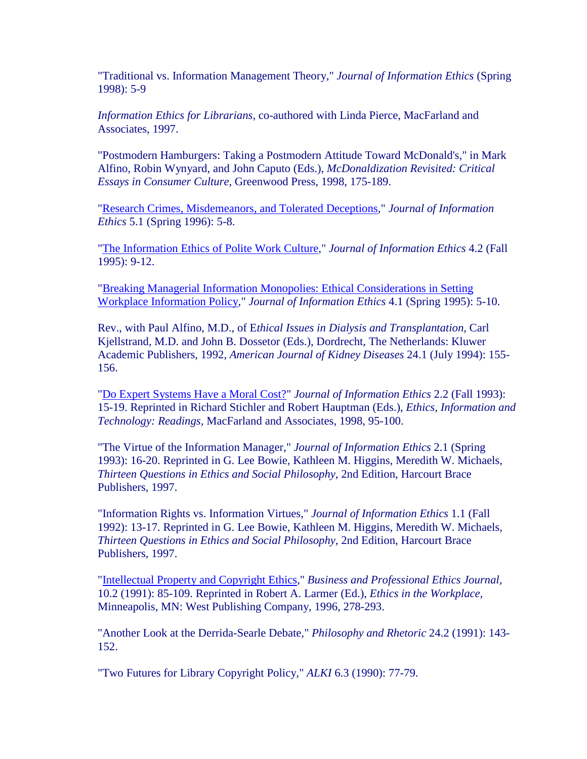"Traditional vs. Information Management Theory," *Journal of Information Ethics* (Spring 1998): 5-9

*Information Ethics for Librarians*, co-authored with Linda Pierce, MacFarland and Associates, 1997.

"Postmodern Hamburgers: Taking a Postmodern Attitude Toward McDonald's," in Mark Alfino, Robin Wynyard, and John Caputo (Eds.), *McDonaldization Revisited: Critical Essays in Consumer Culture*, Greenwood Press, 1998, 175-189.

["Research Crimes, Misdemeanors, and Tolerated Deceptions,](http://guweb2.gonzaga.edu/faculty/alfino/dossier/Papers/Jief95_Research_Crimes_Misdemeanors.htm)" *Journal of Information Ethics* 5.1 (Spring 1996): 5-8.

["The Information Ethics of Polite Work Culture,](http://guweb2.gonzaga.edu/faculty/alfino/dossier/Papers/95S_JIE_Info_Ethics_of_Polite_Culture.htm)" *Journal of Information Ethics* 4.2 (Fall 1995): 9-12.

["Breaking Managerial Information Monopolies: Ethical Considerations in Setting](http://guweb2.gonzaga.edu/faculty/alfino/dossier/Papers/93F_JIE_Breaking_Managerial_Information_Monopolies.htm)  [Workplace Information Policy,](http://guweb2.gonzaga.edu/faculty/alfino/dossier/Papers/93F_JIE_Breaking_Managerial_Information_Monopolies.htm)" *Journal of Information Ethics* 4.1 (Spring 1995): 5-10.

Rev., with Paul Alfino, M.D., of E*thical Issues in Dialysis and Transplantation*, Carl Kjellstrand, M.D. and John B. Dossetor (Eds.), Dordrecht, The Netherlands: Kluwer Academic Publishers, 1992, *American Journal of Kidney Diseases* 24.1 (July 1994): 155- 156.

["Do Expert Systems Have a Moral Cost?"](http://guweb2.gonzaga.edu/faculty/alfino/dossier/Papers/JIE_93_Do_Expert_Systems_Have_a_Moral_Cost.htm) *Journal of Information Ethics* 2.2 (Fall 1993): 15-19. Reprinted in Richard Stichler and Robert Hauptman (Eds.), *Ethics, Information and Technology: Readings,* MacFarland and Associates, 1998, 95-100.

"The Virtue of the Information Manager," *Journal of Information Ethics* 2.1 (Spring 1993): 16-20. Reprinted in G. Lee Bowie, Kathleen M. Higgins, Meredith W. Michaels, *Thirteen Questions in Ethics and Social Philosophy*, 2nd Edition, Harcourt Brace Publishers, 1997.

"Information Rights vs. Information Virtues," *Journal of Information Ethics* 1.1 (Fall 1992): 13-17. Reprinted in G. Lee Bowie, Kathleen M. Higgins, Meredith W. Michaels, *Thirteen Questions in Ethics and Social Philosophy*, 2nd Edition, Harcourt Brace Publishers, 1997.

["Intellectual Property and Copyright Ethics,](http://guweb2.gonzaga.edu/faculty/alfino/dossier/Papers/COPYRIGH.htm)" *Business and Professional Ethics Journal,* 10.2 (1991): 85-109. Reprinted in Robert A. Larmer (Ed.), *Ethics in the Workplace,*  Minneapolis, MN: West Publishing Company, 1996, 278-293.

"Another Look at the Derrida-Searle Debate," *Philosophy and Rhetoric* 24.2 (1991): 143- 152.

"Two Futures for Library Copyright Policy," *ALKI* 6.3 (1990): 77-79.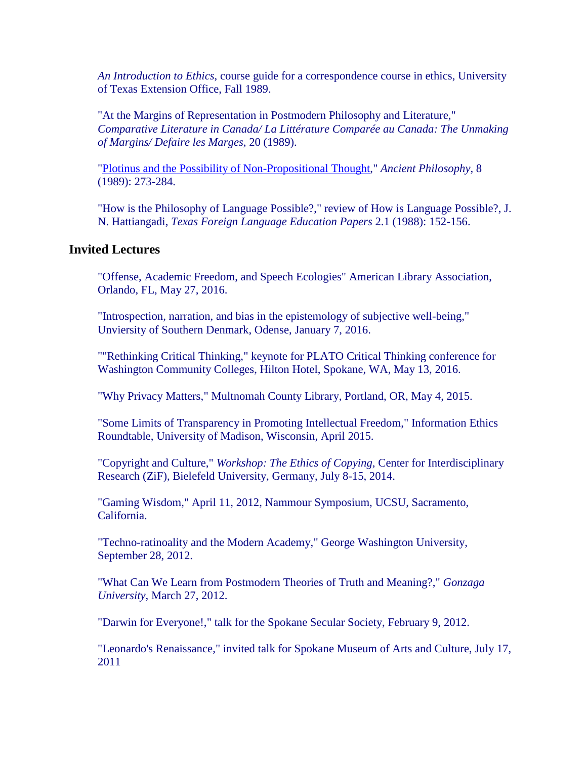*An Introduction to Ethics*, course guide for a correspondence course in ethics, University of Texas Extension Office, Fall 1989.

"At the Margins of Representation in Postmodern Philosophy and Literature," *Comparative Literature in Canada/ La Littérature Comparée au Canada: The Unmaking of Margins/ Defaire les Marges*, 20 (1989).

["Plotinus and the Possibility of Non-Propositional Thought,](http://guweb2.gonzaga.edu/faculty/alfino/dossier/Papers/PLOTINUS.htm)" *Ancient Philosophy*, 8 (1989): 273-284.

"How is the Philosophy of Language Possible?," review of How is Language Possible?, J. N. Hattiangadi, *Texas Foreign Language Education Papers* 2.1 (1988): 152-156.

# **Invited Lectures**

"Offense, Academic Freedom, and Speech Ecologies" American Library Association, Orlando, FL, May 27, 2016.

"Introspection, narration, and bias in the epistemology of subjective well-being," Unviersity of Southern Denmark, Odense, January 7, 2016.

""Rethinking Critical Thinking," keynote for PLATO Critical Thinking conference for Washington Community Colleges, Hilton Hotel, Spokane, WA, May 13, 2016.

"Why Privacy Matters," Multnomah County Library, Portland, OR, May 4, 2015.

"Some Limits of Transparency in Promoting Intellectual Freedom," Information Ethics Roundtable, University of Madison, Wisconsin, April 2015.

"Copyright and Culture," *Workshop: The Ethics of Copying*, Center for Interdisciplinary Research (ZiF), Bielefeld University, Germany, July 8-15, 2014.

"Gaming Wisdom," April 11, 2012, Nammour Symposium, UCSU, Sacramento, California.

"Techno-ratinoality and the Modern Academy," George Washington University, September 28, 2012.

"What Can We Learn from Postmodern Theories of Truth and Meaning?," *Gonzaga University,* March 27, 2012.

"Darwin for Everyone!," talk for the Spokane Secular Society, February 9, 2012.

"Leonardo's Renaissance," invited talk for Spokane Museum of Arts and Culture, July 17, 2011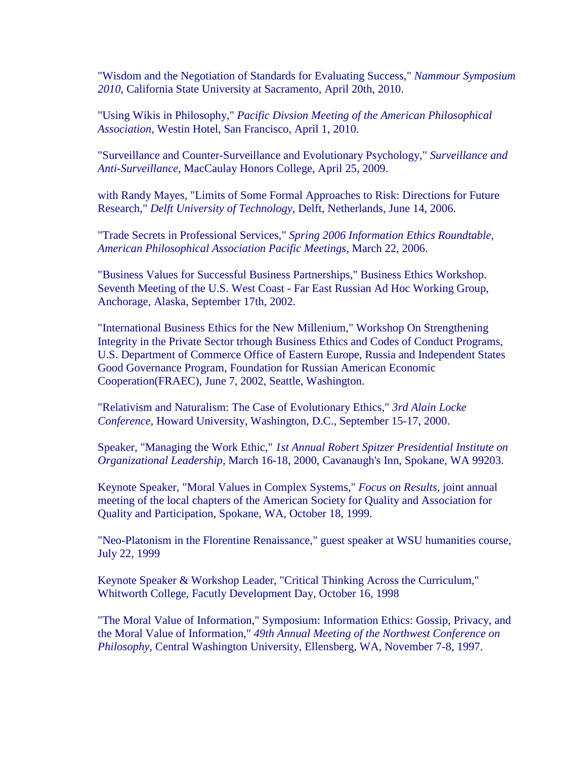"Wisdom and the Negotiation of Standards for Evaluating Success," *Nammour Symposium 2010,* California State University at Sacramento, April 20th, 2010.

"Using Wikis in Philosophy," *Pacific Divsion Meeting of the American Philosophical Association,* Westin Hotel, San Francisco, April 1, 2010.

"Surveillance and Counter-Surveillance and Evolutionary Psychology," *Surveillance and Anti-Surveillance,* MacCaulay Honors College, April 25, 2009.

with Randy Mayes, "Limits of Some Formal Approaches to Risk: Directions for Future Research," *Delft University of Technology*, Delft, Netherlands, June 14, 2006.

"Trade Secrets in Professional Services," *Spring 2006 Information Ethics Roundtable*, *American Philosophical Association Pacific Meetings,* March 22, 2006.

"Business Values for Successful Business Partnerships," Business Ethics Workshop. Seventh Meeting of the U.S. West Coast - Far East Russian Ad Hoc Working Group, Anchorage, Alaska, September 17th, 2002.

"International Business Ethics for the New Millenium," Workshop On Strengthening Integrity in the Private Sector trhough Business Ethics and Codes of Conduct Programs, U.S. Department of Commerce Office of Eastern Europe, Russia and Independent States Good Governance Program, Foundation for Russian American Economic Cooperation(FRAEC), June 7, 2002, Seattle, Washington.

"Relativism and Naturalism: The Case of Evolutionary Ethics," *3rd Alain Locke Conference,* Howard University, Washington, D.C., September 15-17, 2000.

Speaker, "Managing the Work Ethic," *1st Annual Robert Spitzer Presidential Institute on Organizational Leadership,* March 16-18, 2000, Cavanaugh's Inn, Spokane, WA 99203.

Keynote Speaker, "Moral Values in Complex Systems," *Focus on Results,* joint annual meeting of the local chapters of the American Society for Quality and Association for Quality and Participation, Spokane, WA, October 18, 1999.

"Neo-Platonism in the Florentine Renaissance," guest speaker at WSU humanities course, July 22, 1999

Keynote Speaker & Workshop Leader, "Critical Thinking Across the Curriculum," Whitworth College, Facutly Development Day, October 16, 1998

"The Moral Value of Information," Symposium: Information Ethics: Gossip, Privacy, and the Moral Value of Information," *49th Annual Meeting of the Northwest Conference on Philosophy*, Central Washington University, Ellensberg, WA, November 7-8, 1997.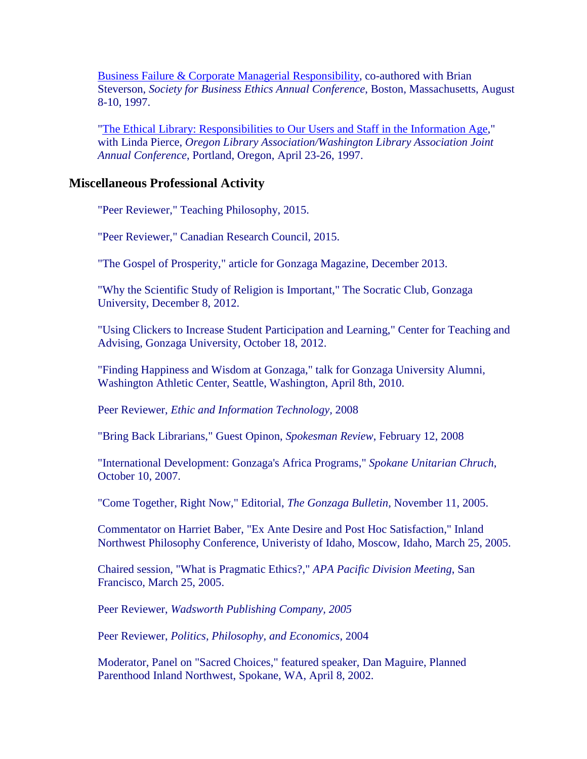[Business Failure & Corporate Managerial Responsibility,](http://guweb2.gonzaga.edu/faculty/alfino/dossier/presentations/97_SBE_Business_Failure_and_Corporate_Managerial_Responsibility.htm) co-authored with Brian Steverson, *Society for Business Ethics Annual Conference*, Boston, Massachusetts, August 8-10, 1997.

["The Ethical Library: Responsibilities to Our Users and Staff in the Information Age,](http://guweb2.gonzaga.edu/faculty/alfino/dossier/Presentations/S97_OLA-WLA.htm)" with Linda Pierce, *Oregon Library Association/Washington Library Association Joint Annual Conference*, Portland, Oregon, April 23-26, 1997.

### **Miscellaneous Professional Activity**

"Peer Reviewer," Teaching Philosophy, 2015.

"Peer Reviewer," Canadian Research Council, 2015.

"The Gospel of Prosperity," article for Gonzaga Magazine, December 2013.

"Why the Scientific Study of Religion is Important," The Socratic Club, Gonzaga University, December 8, 2012.

"Using Clickers to Increase Student Participation and Learning," Center for Teaching and Advising, Gonzaga University, October 18, 2012.

"Finding Happiness and Wisdom at Gonzaga," talk for Gonzaga University Alumni, Washington Athletic Center, Seattle, Washington, April 8th, 2010.

Peer Reviewer, *Ethic and Information Technology,* 2008

"Bring Back Librarians," Guest Opinon, *Spokesman Review*, February 12, 2008

"International Development: Gonzaga's Africa Programs," *Spokane Unitarian Chruch*, October 10, 2007.

"Come Together, Right Now," Editorial, *The Gonzaga Bulletin*, November 11, 2005.

Commentator on Harriet Baber, "Ex Ante Desire and Post Hoc Satisfaction," Inland Northwest Philosophy Conference, Univeristy of Idaho, Moscow, Idaho, March 25, 2005.

Chaired session, "What is Pragmatic Ethics?," *APA Pacific Division Meeting*, San Francisco, March 25, 2005.

Peer Reviewer, *Wadsworth Publishing Company, 2005* 

Peer Reviewer, *Politics, Philosophy, and Economics*, 2004

Moderator, Panel on "Sacred Choices," featured speaker, Dan Maguire, Planned Parenthood Inland Northwest, Spokane, WA, April 8, 2002.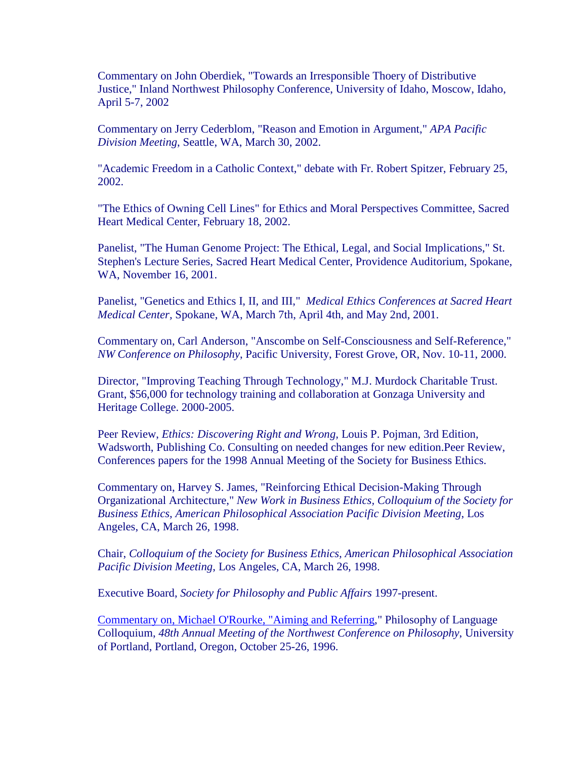Commentary on John Oberdiek, "Towards an Irresponsible Thoery of Distributive Justice," Inland Northwest Philosophy Conference, University of Idaho, Moscow, Idaho, April 5-7, 2002

Commentary on Jerry Cederblom, "Reason and Emotion in Argument," *APA Pacific Division Meeting*, Seattle, WA, March 30, 2002.

"Academic Freedom in a Catholic Context," debate with Fr. Robert Spitzer, February 25, 2002.

"The Ethics of Owning Cell Lines" for Ethics and Moral Perspectives Committee, Sacred Heart Medical Center, February 18, 2002.

Panelist, "The Human Genome Project: The Ethical, Legal, and Social Implications," St. Stephen's Lecture Series, Sacred Heart Medical Center, Providence Auditorium, Spokane, WA, November 16, 2001.

Panelist, "Genetics and Ethics I, II, and III," *Medical Ethics Conferences at Sacred Heart Medical Center,* Spokane, WA, March 7th, April 4th, and May 2nd, 2001.

Commentary on, Carl Anderson, "Anscombe on Self-Consciousness and Self-Reference," *NW Conference on Philosophy*, Pacific University, Forest Grove, OR, Nov. 10-11, 2000.

Director, "Improving Teaching Through Technology," M.J. Murdock Charitable Trust. Grant, \$56,000 for technology training and collaboration at Gonzaga University and Heritage College. 2000-2005.

Peer Review, *Ethics: Discovering Right and Wrong,* Louis P. Pojman, 3rd Edition, Wadsworth, Publishing Co. Consulting on needed changes for new edition.Peer Review, Conferences papers for the 1998 Annual Meeting of the Society for Business Ethics.

Commentary on, Harvey S. James, "Reinforcing Ethical Decision-Making Through Organizational Architecture," *New Work in Business Ethics, Colloquium of the Society for Business Ethics, American Philosophical Association Pacific Division Meeting*, Los Angeles, CA, March 26, 1998.

Chair, *Colloquium of the Society for Business Ethics, American Philosophical Association Pacific Division Meeting*, Los Angeles, CA, March 26, 1998.

Executive Board, *Society for Philosophy and Public Affairs* 1997-present.

[Commentary on, Michael O'Rourke, "Aiming and Referring,](http://guweb2.gonzaga.edu/faculty/alfino/dossier/Papers/96F_NW_Conf_Comments_on_Aiming_and_Referring.htm)" Philosophy of Language Colloquium, *48th Annual Meeting of the Northwest Conference on Philosophy*, University of Portland, Portland, Oregon, October 25-26, 1996.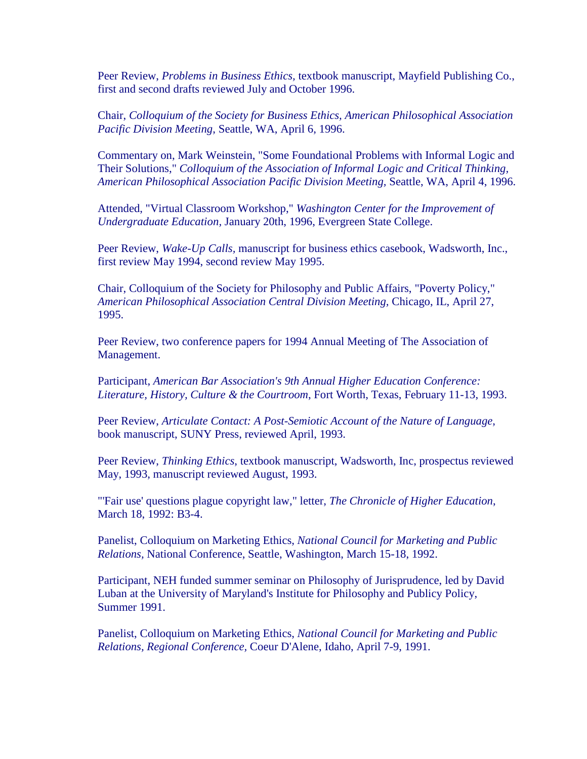Peer Review, *Problems in Business Ethics,* textbook manuscript, Mayfield Publishing Co., first and second drafts reviewed July and October 1996.

Chair, *Colloquium of the Society for Business Ethics, American Philosophical Association Pacific Division Meeting*, Seattle, WA, April 6, 1996.

Commentary on, Mark Weinstein, "Some Foundational Problems with Informal Logic and Their Solutions," *Colloquium of the Association of Informal Logic and Critical Thinking, American Philosophical Association Pacific Division Meeting,* Seattle, WA, April 4, 1996.

Attended, "Virtual Classroom Workshop," *Washington Center for the Improvement of Undergraduate Education,* January 20th, 1996, Evergreen State College.

Peer Review, *Wake-Up Calls,* manuscript for business ethics casebook, Wadsworth, Inc., first review May 1994, second review May 1995.

Chair, Colloquium of the Society for Philosophy and Public Affairs, "Poverty Policy," *American Philosophical Association Central Division Meeting,* Chicago, IL, April 27, 1995.

Peer Review, two conference papers for 1994 Annual Meeting of The Association of Management.

Participant, *American Bar Association's 9th Annual Higher Education Conference: Literature, History, Culture & the Courtroom*, Fort Worth, Texas, February 11-13, 1993.

Peer Review, *Articulate Contact: A Post-Semiotic Account of the Nature of Language*, book manuscript, SUNY Press, reviewed April, 1993.

Peer Review, *Thinking Ethics*, textbook manuscript, Wadsworth, Inc, prospectus reviewed May, 1993, manuscript reviewed August, 1993.

"'Fair use' questions plague copyright law," letter, *The Chronicle of Higher Education*, March 18, 1992: B3-4.

Panelist, Colloquium on Marketing Ethics, *National Council for Marketing and Public Relations,* National Conference, Seattle, Washington, March 15-18, 1992.

Participant, NEH funded summer seminar on Philosophy of Jurisprudence, led by David Luban at the University of Maryland's Institute for Philosophy and Publicy Policy, Summer 1991.

Panelist, Colloquium on Marketing Ethics, *National Council for Marketing and Public Relations, Regional Conference,* Coeur D'Alene, Idaho, April 7-9, 1991.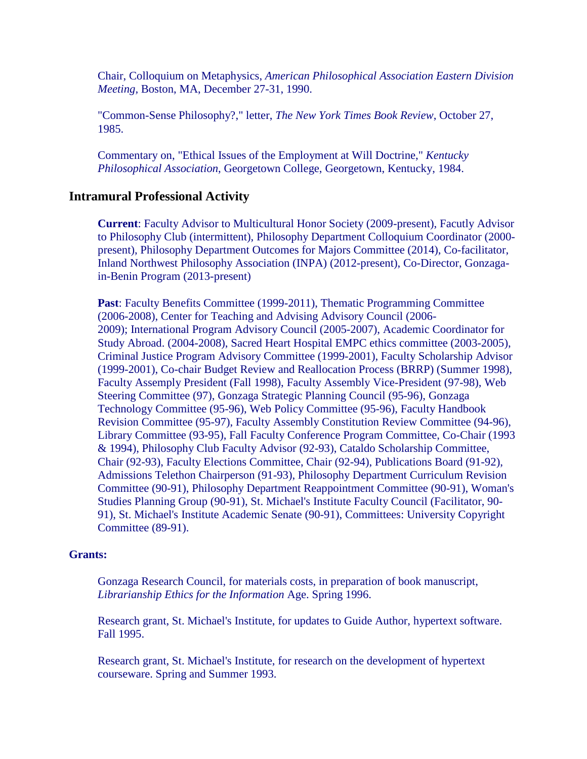Chair, Colloquium on Metaphysics, *American Philosophical Association Eastern Division Meeting,* Boston, MA, December 27-31, 1990.

"Common-Sense Philosophy?," letter, *The New York Times Book Review*, October 27, 1985.

Commentary on, "Ethical Issues of the Employment at Will Doctrine," *Kentucky Philosophical Association*, Georgetown College, Georgetown, Kentucky, 1984.

# **Intramural Professional Activity**

**Current**: Faculty Advisor to Multicultural Honor Society (2009-present), Facutly Advisor to Philosophy Club (intermittent), Philosophy Department Colloquium Coordinator (2000 present), Philosophy Department Outcomes for Majors Committee (2014), Co-facilitator, Inland Northwest Philosophy Association (INPA) (2012-present), Co-Director, Gonzagain-Benin Program (2013-present)

**Past**: Faculty Benefits Committee (1999-2011), Thematic Programming Committee (2006-2008), Center for Teaching and Advising Advisory Council (2006- 2009); International Program Advisory Council (2005-2007), Academic Coordinator for Study Abroad. (2004-2008), Sacred Heart Hospital EMPC ethics committee (2003-2005), Criminal Justice Program Advisory Committee (1999-2001), Faculty Scholarship Advisor (1999-2001), Co-chair Budget Review and Reallocation Process (BRRP) (Summer 1998), Faculty Assemply President (Fall 1998), Faculty Assembly Vice-President (97-98), Web Steering Committee (97), Gonzaga Strategic Planning Council (95-96), Gonzaga Technology Committee (95-96), Web Policy Committee (95-96), Faculty Handbook Revision Committee (95-97), Faculty Assembly Constitution Review Committee (94-96), Library Committee (93-95), Fall Faculty Conference Program Committee, Co-Chair (1993 & 1994), Philosophy Club Faculty Advisor (92-93), Cataldo Scholarship Committee, Chair (92-93), Faculty Elections Committee, Chair (92-94), Publications Board (91-92), Admissions Telethon Chairperson (91-93), Philosophy Department Curriculum Revision Committee (90-91), Philosophy Department Reappointment Committee (90-91), Woman's Studies Planning Group (90-91), St. Michael's Institute Faculty Council (Facilitator, 90- 91), St. Michael's Institute Academic Senate (90-91), Committees: University Copyright Committee (89-91).

#### **Grants:**

Gonzaga Research Council, for materials costs, in preparation of book manuscript, *Librarianship Ethics for the Information* Age. Spring 1996.

Research grant, St. Michael's Institute, for updates to Guide Author, hypertext software. Fall 1995.

Research grant, St. Michael's Institute, for research on the development of hypertext courseware. Spring and Summer 1993.